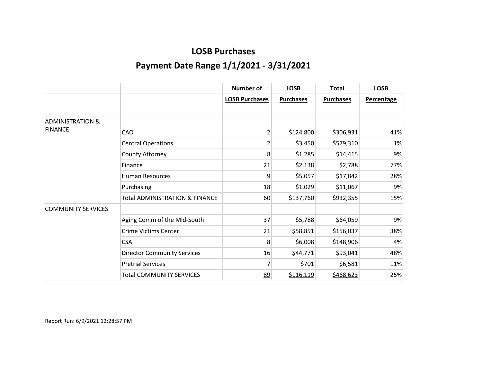|                             |                                           | <b>Number of</b>      | <b>LOSB</b>      | <b>Total</b>     | <b>LOSB</b>       |
|-----------------------------|-------------------------------------------|-----------------------|------------------|------------------|-------------------|
|                             |                                           | <b>LOSB Purchases</b> | <b>Purchases</b> | <b>Purchases</b> | <b>Percentage</b> |
|                             |                                           |                       |                  |                  |                   |
| <b>ADMINISTRATION &amp;</b> |                                           |                       |                  |                  |                   |
| <b>FINANCE</b>              | CAO                                       | $\overline{2}$        | \$124,800        | \$306,931        | 41%               |
|                             | <b>Central Operations</b>                 | $\overline{2}$        | \$3,450          | \$579,310        | 1%                |
|                             | <b>County Attorney</b>                    | 8                     | \$1,285          | \$14,415         | 9%                |
|                             | Finance                                   | 21                    | \$2,138          | \$2,788          | 77%               |
|                             | <b>Human Resources</b>                    | 9                     | \$5,057          | \$17,842         | 28%               |
|                             | Purchasing                                | 18                    | \$1,029          | \$11,067         | 9%                |
|                             | <b>Total ADMINISTRATION &amp; FINANCE</b> | 60                    | \$137,760        | \$932,355        | 15%               |
| <b>COMMUNITY SERVICES</b>   |                                           |                       |                  |                  |                   |
|                             | Aging Comm of the Mid-South               | 37                    | \$5,788          | \$64,059         | 9%                |
|                             | Crime Victims Center                      | 21                    | \$58,851         | \$156,037        | 38%               |
|                             | <b>CSA</b>                                | 8                     | \$6,008          | \$148,906        | 4%                |
|                             | <b>Director Community Services</b>        | 16                    | \$44,771         | \$93,041         | 48%               |
|                             | <b>Pretrial Services</b>                  | 7                     | \$701            | \$6,581          | 11%               |
|                             | <b>Total COMMUNITY SERVICES</b>           | 89                    | \$116,119        | \$468,623        | 25%               |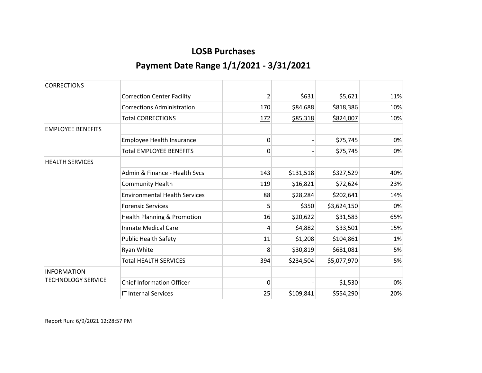| <b>CORRECTIONS</b>        |                                      |                |           |             |     |
|---------------------------|--------------------------------------|----------------|-----------|-------------|-----|
|                           | <b>Correction Center Facility</b>    | $\overline{2}$ | \$631     | \$5,621     | 11% |
|                           | <b>Corrections Administration</b>    | 170            | \$84,688  | \$818,386   | 10% |
|                           | <b>Total CORRECTIONS</b>             | 172            | \$85,318  | \$824,007   | 10% |
| <b>EMPLOYEE BENEFITS</b>  |                                      |                |           |             |     |
|                           | Employee Health Insurance            | 0              |           | \$75,745    | 0%  |
|                           | <b>Total EMPLOYEE BENEFITS</b>       | $\overline{0}$ |           | \$75,745    | 0%  |
| <b>HEALTH SERVICES</b>    |                                      |                |           |             |     |
|                           | Admin & Finance - Health Sycs        | 143            | \$131,518 | \$327,529   | 40% |
|                           | <b>Community Health</b>              | 119            | \$16,821  | \$72,624    | 23% |
|                           | <b>Environmental Health Services</b> | 88             | \$28,284  | \$202,641   | 14% |
|                           | <b>Forensic Services</b>             | 5              | \$350     | \$3,624,150 | 0%  |
|                           | Health Planning & Promotion          | 16             | \$20,622  | \$31,583    | 65% |
|                           | <b>Inmate Medical Care</b>           | 4              | \$4,882   | \$33,501    | 15% |
|                           | <b>Public Health Safety</b>          | 11             | \$1,208   | \$104,861   | 1%  |
|                           | Ryan White                           | 8              | \$30,819  | \$681,081   | 5%  |
|                           | <b>Total HEALTH SERVICES</b>         | 394            | \$234,504 | \$5,077,970 | 5%  |
| <b>INFORMATION</b>        |                                      |                |           |             |     |
| <b>TECHNOLOGY SERVICE</b> | <b>Chief Information Officer</b>     | $\mathbf{0}$   |           | \$1,530     | 0%  |
|                           | <b>IT Internal Services</b>          | 25             | \$109,841 | \$554,290   | 20% |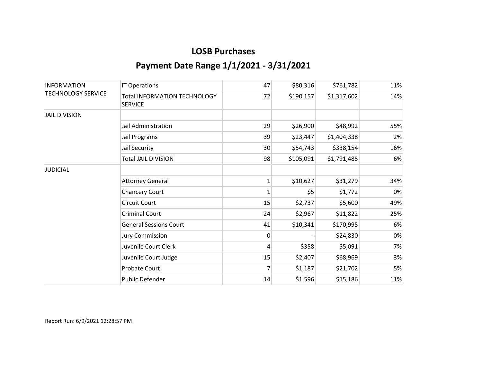| <b>INFORMATION</b><br><b>TECHNOLOGY SERVICE</b> | <b>IT Operations</b>                                  | 47           | \$80,316  | \$761,782   | 11% |
|-------------------------------------------------|-------------------------------------------------------|--------------|-----------|-------------|-----|
|                                                 | <b>Total INFORMATION TECHNOLOGY</b><br><b>SERVICE</b> | 72           | \$190,157 | \$1,317,602 | 14% |
| <b>JAIL DIVISION</b>                            |                                                       |              |           |             |     |
|                                                 | Jail Administration                                   | 29           | \$26,900  | \$48,992    | 55% |
|                                                 | Jail Programs                                         | 39           | \$23,447  | \$1,404,338 | 2%  |
|                                                 | Jail Security                                         | 30           | \$54,743  | \$338,154   | 16% |
|                                                 | <b>Total JAIL DIVISION</b>                            | 98           | \$105,091 | \$1,791,485 | 6%  |
| <b>JUDICIAL</b>                                 |                                                       |              |           |             |     |
|                                                 | <b>Attorney General</b>                               | $\mathbf 1$  | \$10,627  | \$31,279    | 34% |
|                                                 | <b>Chancery Court</b>                                 | 1            | \$5       | \$1,772     | 0%  |
|                                                 | <b>Circuit Court</b>                                  | 15           | \$2,737   | \$5,600     | 49% |
|                                                 | <b>Criminal Court</b>                                 | 24           | \$2,967   | \$11,822    | 25% |
|                                                 | <b>General Sessions Court</b>                         | 41           | \$10,341  | \$170,995   | 6%  |
|                                                 | <b>Jury Commission</b>                                | $\mathbf{0}$ |           | \$24,830    | 0%  |
|                                                 | Juvenile Court Clerk                                  | 4            | \$358     | \$5,091     | 7%  |
|                                                 | Juvenile Court Judge                                  | 15           | \$2,407   | \$68,969    | 3%  |
|                                                 | Probate Court                                         | 7            | \$1,187   | \$21,702    | 5%  |
|                                                 | Public Defender                                       | 14           | \$1,596   | \$15,186    | 11% |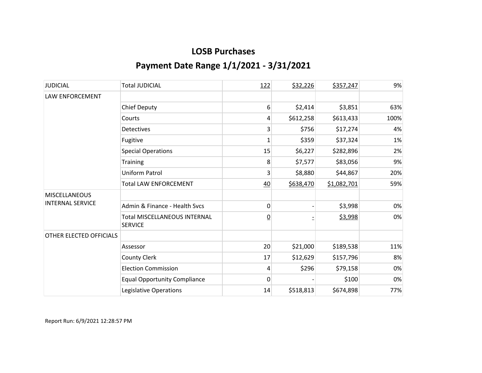| <b>JUDICIAL</b>                                 | <b>Total JUDICIAL</b>                                 | 122            | \$32,226  | \$357,247   | 9%   |
|-------------------------------------------------|-------------------------------------------------------|----------------|-----------|-------------|------|
| LAW ENFORCEMENT                                 |                                                       |                |           |             |      |
|                                                 | <b>Chief Deputy</b>                                   | 6              | \$2,414   | \$3,851     | 63%  |
|                                                 | Courts                                                | 4              | \$612,258 | \$613,433   | 100% |
|                                                 | <b>Detectives</b>                                     | 3              | \$756     | \$17,274    | 4%   |
|                                                 | Fugitive                                              | $\mathbf{1}$   | \$359     | \$37,324    | 1%   |
|                                                 | <b>Special Operations</b>                             | 15             | \$6,227   | \$282,896   | 2%   |
|                                                 | <b>Training</b>                                       | 8              | \$7,577   | \$83,056    | 9%   |
|                                                 | <b>Uniform Patrol</b>                                 | 3              | \$8,880   | \$44,867    | 20%  |
|                                                 | <b>Total LAW ENFORCEMENT</b>                          | 40             | \$638,470 | \$1,082,701 | 59%  |
| <b>MISCELLANEOUS</b><br><b>INTERNAL SERVICE</b> |                                                       |                |           |             |      |
|                                                 | Admin & Finance - Health Svcs                         | 0              |           | \$3,998     | 0%   |
|                                                 | <b>Total MISCELLANEOUS INTERNAL</b><br><b>SERVICE</b> | $\overline{0}$ |           | \$3,998     | 0%   |
| OTHER ELECTED OFFICIALS                         |                                                       |                |           |             |      |
|                                                 | Assessor                                              | 20             | \$21,000  | \$189,538   | 11%  |
|                                                 | <b>County Clerk</b>                                   | 17             | \$12,629  | \$157,796   | 8%   |
|                                                 | <b>Election Commission</b>                            | 4              | \$296     | \$79,158    | 0%   |
|                                                 | <b>Equal Opportunity Compliance</b>                   | $\Omega$       |           | \$100       | 0%   |
|                                                 | Legislative Operations                                | 14             | \$518,813 | \$674,898   | 77%  |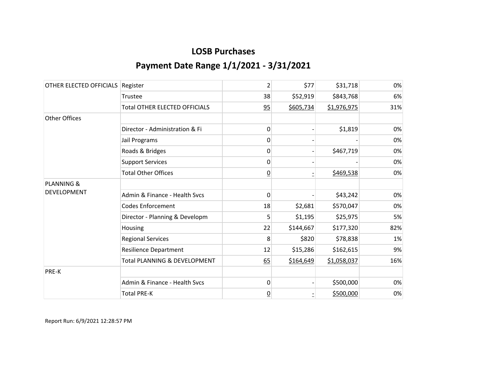| OTHER ELECTED OFFICIALS | Register                             | $\overline{2}$  | \$77      | \$31,718    | 0%  |
|-------------------------|--------------------------------------|-----------------|-----------|-------------|-----|
|                         | Trustee                              | 38              | \$52,919  | \$843,768   | 6%  |
|                         | <b>Total OTHER ELECTED OFFICIALS</b> | 95              | \$605,734 | \$1,976,975 | 31% |
| <b>Other Offices</b>    |                                      |                 |           |             |     |
|                         | Director - Administration & Fi       | 0               |           | \$1,819     | 0%  |
|                         | Jail Programs                        | 0               |           |             | 0%  |
|                         | Roads & Bridges                      | 0               |           | \$467,719   | 0%  |
|                         | <b>Support Services</b>              | 0               |           |             | 0%  |
|                         | <b>Total Other Offices</b>           | $\overline{0}$  |           | \$469,538   | 0%  |
| <b>PLANNING &amp;</b>   |                                      |                 |           |             |     |
| <b>DEVELOPMENT</b>      | Admin & Finance - Health Svcs        | $\mathbf{0}$    |           | \$43,242    | 0%  |
|                         | <b>Codes Enforcement</b>             | 18              | \$2,681   | \$570,047   | 0%  |
|                         | Director - Planning & Developm       | 5               | \$1,195   | \$25,975    | 5%  |
|                         | Housing                              | 22              | \$144,667 | \$177,320   | 82% |
|                         | <b>Regional Services</b>             | 8               | \$820     | \$78,838    | 1%  |
|                         | <b>Resilience Department</b>         | 12              | \$15,286  | \$162,615   | 9%  |
|                         | Total PLANNING & DEVELOPMENT         | 65              | \$164,649 | \$1,058,037 | 16% |
| PRE-K                   |                                      |                 |           |             |     |
|                         | Admin & Finance - Health Svcs        | $\mathbf{0}$    |           | \$500,000   | 0%  |
|                         | <b>Total PRE-K</b>                   | $\underline{0}$ |           | \$500,000   | 0%  |